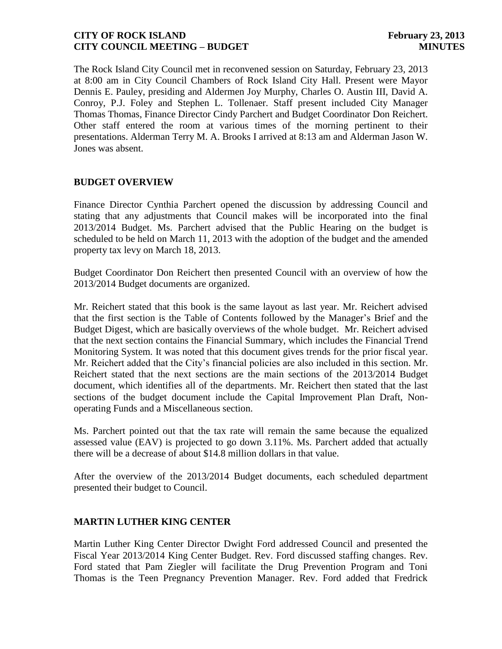The Rock Island City Council met in reconvened session on Saturday, February 23, 2013 at 8:00 am in City Council Chambers of Rock Island City Hall. Present were Mayor Dennis E. Pauley, presiding and Aldermen Joy Murphy, Charles O. Austin III, David A. Conroy, P.J. Foley and Stephen L. Tollenaer. Staff present included City Manager Thomas Thomas, Finance Director Cindy Parchert and Budget Coordinator Don Reichert. Other staff entered the room at various times of the morning pertinent to their presentations. Alderman Terry M. A. Brooks I arrived at 8:13 am and Alderman Jason W. Jones was absent.

## **BUDGET OVERVIEW**

Finance Director Cynthia Parchert opened the discussion by addressing Council and stating that any adjustments that Council makes will be incorporated into the final 2013/2014 Budget. Ms. Parchert advised that the Public Hearing on the budget is scheduled to be held on March 11, 2013 with the adoption of the budget and the amended property tax levy on March 18, 2013.

Budget Coordinator Don Reichert then presented Council with an overview of how the 2013/2014 Budget documents are organized.

Mr. Reichert stated that this book is the same layout as last year. Mr. Reichert advised that the first section is the Table of Contents followed by the Manager's Brief and the Budget Digest, which are basically overviews of the whole budget. Mr. Reichert advised that the next section contains the Financial Summary, which includes the Financial Trend Monitoring System. It was noted that this document gives trends for the prior fiscal year. Mr. Reichert added that the City's financial policies are also included in this section. Mr. Reichert stated that the next sections are the main sections of the 2013/2014 Budget document, which identifies all of the departments. Mr. Reichert then stated that the last sections of the budget document include the Capital Improvement Plan Draft, Nonoperating Funds and a Miscellaneous section.

Ms. Parchert pointed out that the tax rate will remain the same because the equalized assessed value (EAV) is projected to go down 3.11%. Ms. Parchert added that actually there will be a decrease of about \$14.8 million dollars in that value.

After the overview of the 2013/2014 Budget documents, each scheduled department presented their budget to Council.

#### **MARTIN LUTHER KING CENTER**

Martin Luther King Center Director Dwight Ford addressed Council and presented the Fiscal Year 2013/2014 King Center Budget. Rev. Ford discussed staffing changes. Rev. Ford stated that Pam Ziegler will facilitate the Drug Prevention Program and Toni Thomas is the Teen Pregnancy Prevention Manager. Rev. Ford added that Fredrick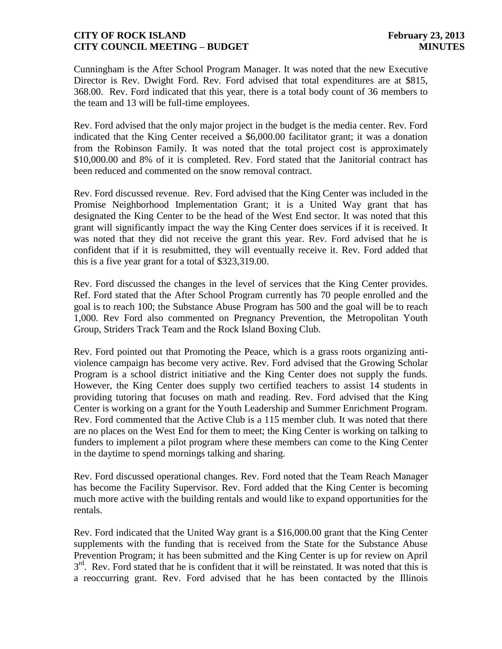Cunningham is the After School Program Manager. It was noted that the new Executive Director is Rev. Dwight Ford. Rev. Ford advised that total expenditures are at \$815, 368.00. Rev. Ford indicated that this year, there is a total body count of 36 members to the team and 13 will be full-time employees.

Rev. Ford advised that the only major project in the budget is the media center. Rev. Ford indicated that the King Center received a \$6,000.00 facilitator grant; it was a donation from the Robinson Family. It was noted that the total project cost is approximately \$10,000.00 and 8% of it is completed. Rev. Ford stated that the Janitorial contract has been reduced and commented on the snow removal contract.

Rev. Ford discussed revenue. Rev. Ford advised that the King Center was included in the Promise Neighborhood Implementation Grant; it is a United Way grant that has designated the King Center to be the head of the West End sector. It was noted that this grant will significantly impact the way the King Center does services if it is received. It was noted that they did not receive the grant this year. Rev. Ford advised that he is confident that if it is resubmitted, they will eventually receive it. Rev. Ford added that this is a five year grant for a total of \$323,319.00.

Rev. Ford discussed the changes in the level of services that the King Center provides. Ref. Ford stated that the After School Program currently has 70 people enrolled and the goal is to reach 100; the Substance Abuse Program has 500 and the goal will be to reach 1,000. Rev Ford also commented on Pregnancy Prevention, the Metropolitan Youth Group, Striders Track Team and the Rock Island Boxing Club.

Rev. Ford pointed out that Promoting the Peace, which is a grass roots organizing antiviolence campaign has become very active. Rev. Ford advised that the Growing Scholar Program is a school district initiative and the King Center does not supply the funds. However, the King Center does supply two certified teachers to assist 14 students in providing tutoring that focuses on math and reading. Rev. Ford advised that the King Center is working on a grant for the Youth Leadership and Summer Enrichment Program. Rev. Ford commented that the Active Club is a 115 member club. It was noted that there are no places on the West End for them to meet; the King Center is working on talking to funders to implement a pilot program where these members can come to the King Center in the daytime to spend mornings talking and sharing.

Rev. Ford discussed operational changes. Rev. Ford noted that the Team Reach Manager has become the Facility Supervisor. Rev. Ford added that the King Center is becoming much more active with the building rentals and would like to expand opportunities for the rentals.

Rev. Ford indicated that the United Way grant is a \$16,000.00 grant that the King Center supplements with the funding that is received from the State for the Substance Abuse Prevention Program; it has been submitted and the King Center is up for review on April 3<sup>rd</sup>. Rev. Ford stated that he is confident that it will be reinstated. It was noted that this is a reoccurring grant. Rev. Ford advised that he has been contacted by the Illinois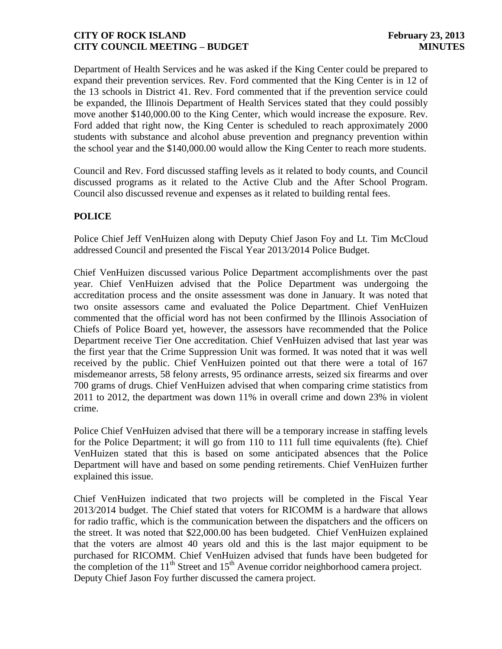Department of Health Services and he was asked if the King Center could be prepared to expand their prevention services. Rev. Ford commented that the King Center is in 12 of the 13 schools in District 41. Rev. Ford commented that if the prevention service could be expanded, the Illinois Department of Health Services stated that they could possibly move another \$140,000.00 to the King Center, which would increase the exposure. Rev. Ford added that right now, the King Center is scheduled to reach approximately 2000 students with substance and alcohol abuse prevention and pregnancy prevention within the school year and the \$140,000.00 would allow the King Center to reach more students.

Council and Rev. Ford discussed staffing levels as it related to body counts, and Council discussed programs as it related to the Active Club and the After School Program. Council also discussed revenue and expenses as it related to building rental fees.

# **POLICE**

Police Chief Jeff VenHuizen along with Deputy Chief Jason Foy and Lt. Tim McCloud addressed Council and presented the Fiscal Year 2013/2014 Police Budget.

Chief VenHuizen discussed various Police Department accomplishments over the past year. Chief VenHuizen advised that the Police Department was undergoing the accreditation process and the onsite assessment was done in January. It was noted that two onsite assessors came and evaluated the Police Department. Chief VenHuizen commented that the official word has not been confirmed by the Illinois Association of Chiefs of Police Board yet, however, the assessors have recommended that the Police Department receive Tier One accreditation. Chief VenHuizen advised that last year was the first year that the Crime Suppression Unit was formed. It was noted that it was well received by the public. Chief VenHuizen pointed out that there were a total of 167 misdemeanor arrests, 58 felony arrests, 95 ordinance arrests, seized six firearms and over 700 grams of drugs. Chief VenHuizen advised that when comparing crime statistics from 2011 to 2012, the department was down 11% in overall crime and down 23% in violent crime.

Police Chief VenHuizen advised that there will be a temporary increase in staffing levels for the Police Department; it will go from 110 to 111 full time equivalents (fte). Chief VenHuizen stated that this is based on some anticipated absences that the Police Department will have and based on some pending retirements. Chief VenHuizen further explained this issue.

Chief VenHuizen indicated that two projects will be completed in the Fiscal Year 2013/2014 budget. The Chief stated that voters for RICOMM is a hardware that allows for radio traffic, which is the communication between the dispatchers and the officers on the street. It was noted that \$22,000.00 has been budgeted. Chief VenHuizen explained that the voters are almost 40 years old and this is the last major equipment to be purchased for RICOMM. Chief VenHuizen advised that funds have been budgeted for the completion of the  $11<sup>th</sup>$  Street and  $15<sup>th</sup>$  Avenue corridor neighborhood camera project. Deputy Chief Jason Foy further discussed the camera project.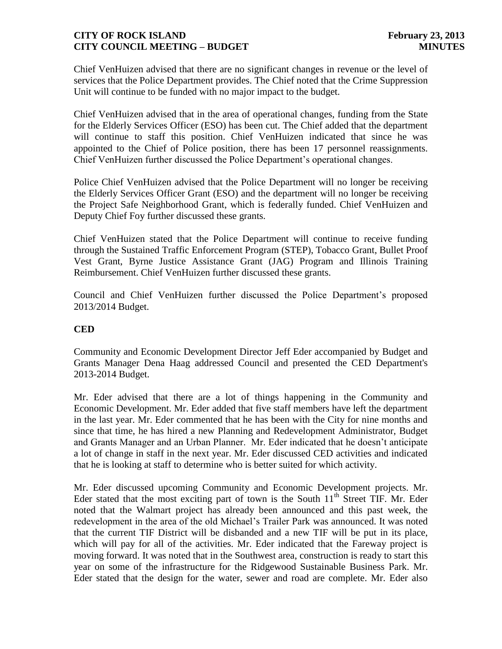Chief VenHuizen advised that there are no significant changes in revenue or the level of services that the Police Department provides. The Chief noted that the Crime Suppression Unit will continue to be funded with no major impact to the budget.

Chief VenHuizen advised that in the area of operational changes, funding from the State for the Elderly Services Officer (ESO) has been cut. The Chief added that the department will continue to staff this position. Chief VenHuizen indicated that since he was appointed to the Chief of Police position, there has been 17 personnel reassignments. Chief VenHuizen further discussed the Police Department's operational changes.

Police Chief VenHuizen advised that the Police Department will no longer be receiving the Elderly Services Officer Grant (ESO) and the department will no longer be receiving the Project Safe Neighborhood Grant, which is federally funded. Chief VenHuizen and Deputy Chief Foy further discussed these grants.

Chief VenHuizen stated that the Police Department will continue to receive funding through the Sustained Traffic Enforcement Program (STEP), Tobacco Grant, Bullet Proof Vest Grant, Byrne Justice Assistance Grant (JAG) Program and Illinois Training Reimbursement. Chief VenHuizen further discussed these grants.

Council and Chief VenHuizen further discussed the Police Department's proposed 2013/2014 Budget.

# **CED**

Community and Economic Development Director Jeff Eder accompanied by Budget and Grants Manager Dena Haag addressed Council and presented the CED Department's 2013-2014 Budget.

Mr. Eder advised that there are a lot of things happening in the Community and Economic Development. Mr. Eder added that five staff members have left the department in the last year. Mr. Eder commented that he has been with the City for nine months and since that time, he has hired a new Planning and Redevelopment Administrator, Budget and Grants Manager and an Urban Planner. Mr. Eder indicated that he doesn't anticipate a lot of change in staff in the next year. Mr. Eder discussed CED activities and indicated that he is looking at staff to determine who is better suited for which activity.

Mr. Eder discussed upcoming Community and Economic Development projects. Mr. Eder stated that the most exciting part of town is the South  $11<sup>th</sup>$  Street TIF. Mr. Eder noted that the Walmart project has already been announced and this past week, the redevelopment in the area of the old Michael's Trailer Park was announced. It was noted that the current TIF District will be disbanded and a new TIF will be put in its place, which will pay for all of the activities. Mr. Eder indicated that the Fareway project is moving forward. It was noted that in the Southwest area, construction is ready to start this year on some of the infrastructure for the Ridgewood Sustainable Business Park. Mr. Eder stated that the design for the water, sewer and road are complete. Mr. Eder also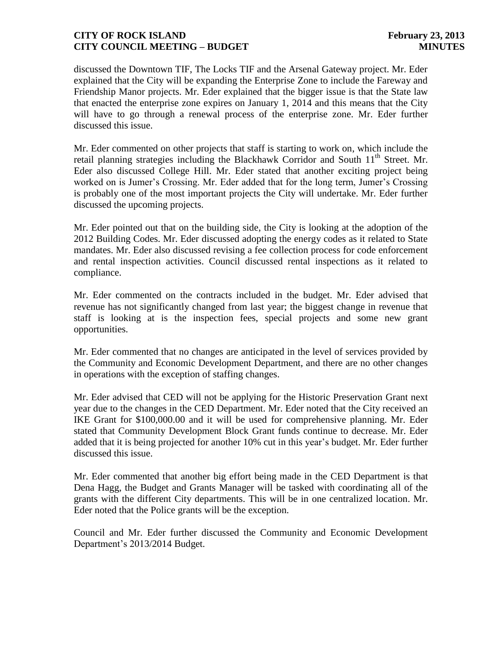discussed the Downtown TIF, The Locks TIF and the Arsenal Gateway project. Mr. Eder explained that the City will be expanding the Enterprise Zone to include the Fareway and Friendship Manor projects. Mr. Eder explained that the bigger issue is that the State law that enacted the enterprise zone expires on January 1, 2014 and this means that the City will have to go through a renewal process of the enterprise zone. Mr. Eder further discussed this issue.

Mr. Eder commented on other projects that staff is starting to work on, which include the retail planning strategies including the Blackhawk Corridor and South  $11<sup>th</sup>$  Street. Mr. Eder also discussed College Hill. Mr. Eder stated that another exciting project being worked on is Jumer's Crossing. Mr. Eder added that for the long term, Jumer's Crossing is probably one of the most important projects the City will undertake. Mr. Eder further discussed the upcoming projects.

Mr. Eder pointed out that on the building side, the City is looking at the adoption of the 2012 Building Codes. Mr. Eder discussed adopting the energy codes as it related to State mandates. Mr. Eder also discussed revising a fee collection process for code enforcement and rental inspection activities. Council discussed rental inspections as it related to compliance.

Mr. Eder commented on the contracts included in the budget. Mr. Eder advised that revenue has not significantly changed from last year; the biggest change in revenue that staff is looking at is the inspection fees, special projects and some new grant opportunities.

Mr. Eder commented that no changes are anticipated in the level of services provided by the Community and Economic Development Department, and there are no other changes in operations with the exception of staffing changes.

Mr. Eder advised that CED will not be applying for the Historic Preservation Grant next year due to the changes in the CED Department. Mr. Eder noted that the City received an IKE Grant for \$100,000.00 and it will be used for comprehensive planning. Mr. Eder stated that Community Development Block Grant funds continue to decrease. Mr. Eder added that it is being projected for another 10% cut in this year's budget. Mr. Eder further discussed this issue.

Mr. Eder commented that another big effort being made in the CED Department is that Dena Hagg, the Budget and Grants Manager will be tasked with coordinating all of the grants with the different City departments. This will be in one centralized location. Mr. Eder noted that the Police grants will be the exception.

Council and Mr. Eder further discussed the Community and Economic Development Department's 2013/2014 Budget.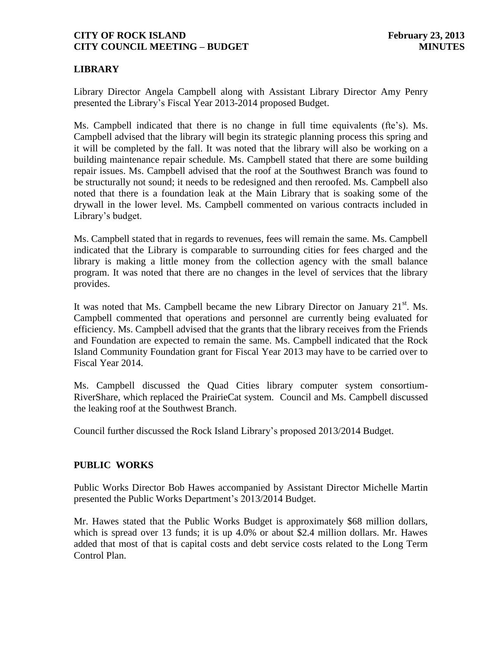# **LIBRARY**

Library Director Angela Campbell along with Assistant Library Director Amy Penry presented the Library's Fiscal Year 2013-2014 proposed Budget.

Ms. Campbell indicated that there is no change in full time equivalents (fte's). Ms. Campbell advised that the library will begin its strategic planning process this spring and it will be completed by the fall. It was noted that the library will also be working on a building maintenance repair schedule. Ms. Campbell stated that there are some building repair issues. Ms. Campbell advised that the roof at the Southwest Branch was found to be structurally not sound; it needs to be redesigned and then reroofed. Ms. Campbell also noted that there is a foundation leak at the Main Library that is soaking some of the drywall in the lower level. Ms. Campbell commented on various contracts included in Library's budget.

Ms. Campbell stated that in regards to revenues, fees will remain the same. Ms. Campbell indicated that the Library is comparable to surrounding cities for fees charged and the library is making a little money from the collection agency with the small balance program. It was noted that there are no changes in the level of services that the library provides.

It was noted that Ms. Campbell became the new Library Director on January  $21<sup>st</sup>$ . Ms. Campbell commented that operations and personnel are currently being evaluated for efficiency. Ms. Campbell advised that the grants that the library receives from the Friends and Foundation are expected to remain the same. Ms. Campbell indicated that the Rock Island Community Foundation grant for Fiscal Year 2013 may have to be carried over to Fiscal Year 2014.

Ms. Campbell discussed the Quad Cities library computer system consortium-RiverShare, which replaced the PrairieCat system. Council and Ms. Campbell discussed the leaking roof at the Southwest Branch.

Council further discussed the Rock Island Library's proposed 2013/2014 Budget.

# **PUBLIC WORKS**

Public Works Director Bob Hawes accompanied by Assistant Director Michelle Martin presented the Public Works Department's 2013/2014 Budget.

Mr. Hawes stated that the Public Works Budget is approximately \$68 million dollars, which is spread over 13 funds; it is up 4.0% or about \$2.4 million dollars. Mr. Hawes added that most of that is capital costs and debt service costs related to the Long Term Control Plan.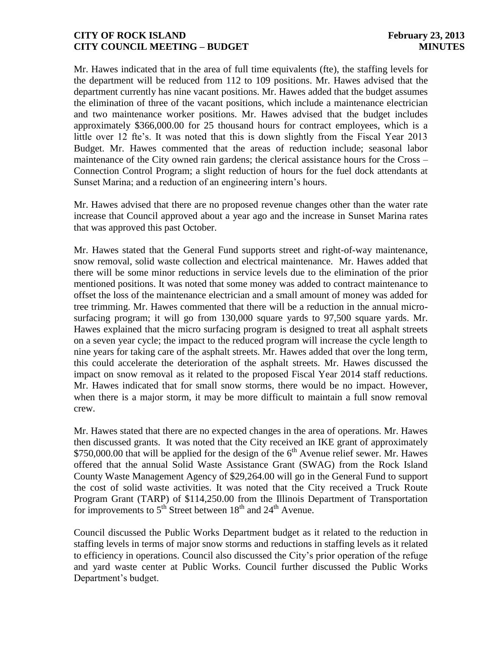Mr. Hawes indicated that in the area of full time equivalents (fte), the staffing levels for the department will be reduced from 112 to 109 positions. Mr. Hawes advised that the department currently has nine vacant positions. Mr. Hawes added that the budget assumes the elimination of three of the vacant positions, which include a maintenance electrician and two maintenance worker positions. Mr. Hawes advised that the budget includes approximately \$366,000.00 for 25 thousand hours for contract employees, which is a little over 12 fte's. It was noted that this is down slightly from the Fiscal Year 2013 Budget. Mr. Hawes commented that the areas of reduction include; seasonal labor maintenance of the City owned rain gardens; the clerical assistance hours for the Cross – Connection Control Program; a slight reduction of hours for the fuel dock attendants at Sunset Marina; and a reduction of an engineering intern's hours.

Mr. Hawes advised that there are no proposed revenue changes other than the water rate increase that Council approved about a year ago and the increase in Sunset Marina rates that was approved this past October.

Mr. Hawes stated that the General Fund supports street and right-of-way maintenance, snow removal, solid waste collection and electrical maintenance. Mr. Hawes added that there will be some minor reductions in service levels due to the elimination of the prior mentioned positions. It was noted that some money was added to contract maintenance to offset the loss of the maintenance electrician and a small amount of money was added for tree trimming. Mr. Hawes commented that there will be a reduction in the annual microsurfacing program; it will go from 130,000 square yards to 97,500 square yards. Mr. Hawes explained that the micro surfacing program is designed to treat all asphalt streets on a seven year cycle; the impact to the reduced program will increase the cycle length to nine years for taking care of the asphalt streets. Mr. Hawes added that over the long term, this could accelerate the deterioration of the asphalt streets. Mr. Hawes discussed the impact on snow removal as it related to the proposed Fiscal Year 2014 staff reductions. Mr. Hawes indicated that for small snow storms, there would be no impact. However, when there is a major storm, it may be more difficult to maintain a full snow removal crew.

Mr. Hawes stated that there are no expected changes in the area of operations. Mr. Hawes then discussed grants. It was noted that the City received an IKE grant of approximately \$750,000.00 that will be applied for the design of the  $6<sup>th</sup>$  Avenue relief sewer. Mr. Hawes offered that the annual Solid Waste Assistance Grant (SWAG) from the Rock Island County Waste Management Agency of \$29,264.00 will go in the General Fund to support the cost of solid waste activities. It was noted that the City received a Truck Route Program Grant (TARP) of \$114,250.00 from the Illinois Department of Transportation for improvements to  $5<sup>th</sup>$  Street between  $18<sup>th</sup>$  and  $24<sup>th</sup>$  Avenue.

Council discussed the Public Works Department budget as it related to the reduction in staffing levels in terms of major snow storms and reductions in staffing levels as it related to efficiency in operations. Council also discussed the City's prior operation of the refuge and yard waste center at Public Works. Council further discussed the Public Works Department's budget.